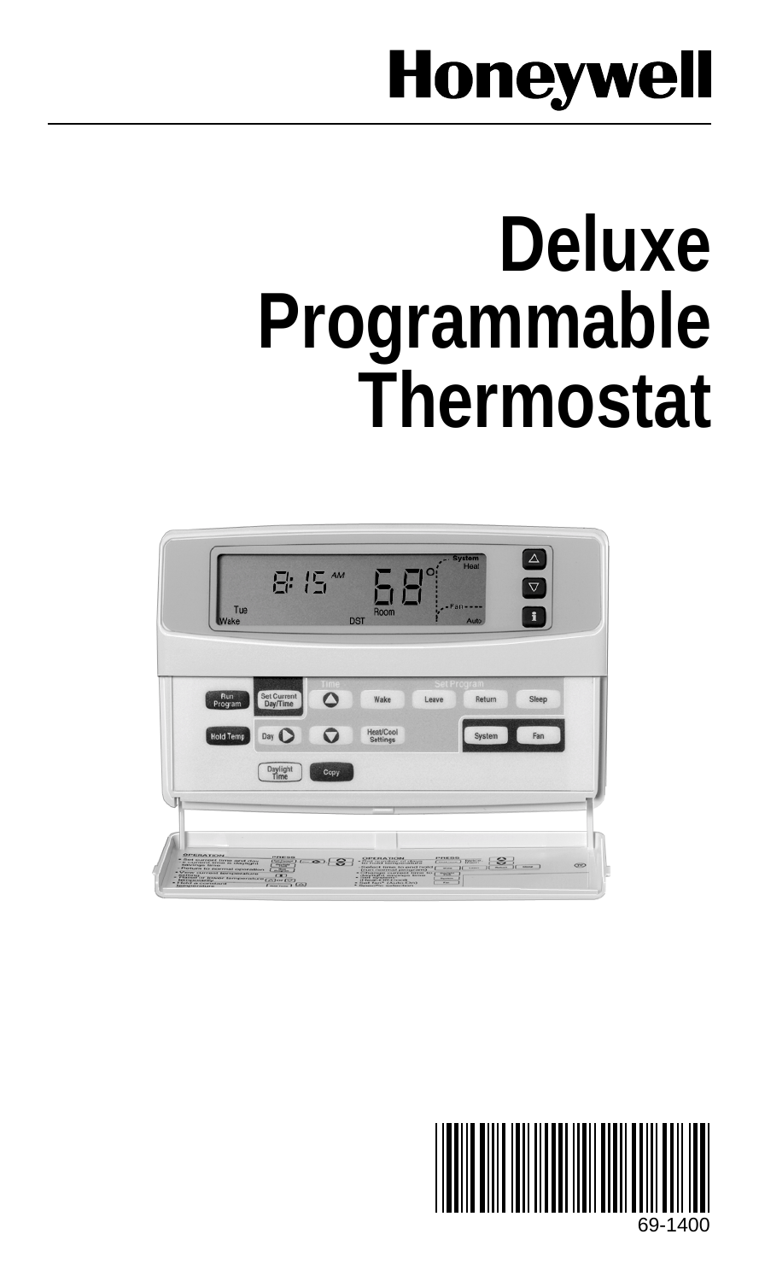# **Honeywell**

# **Deluxe Programmable Thermostat**

| Tue<br>Wake                                                                                                                             | 담 15 ^^^                                                 | IO<br><b>Room</b><br><b>DST</b>             | <b>System</b><br>Hoat<br>$-$ Fan<br>Auto                                                                                                                                                                | Δ<br>$\overline{\nabla}$        |
|-----------------------------------------------------------------------------------------------------------------------------------------|----------------------------------------------------------|---------------------------------------------|---------------------------------------------------------------------------------------------------------------------------------------------------------------------------------------------------------|---------------------------------|
| Run<br>Program<br><b>Hold Temp</b>                                                                                                      | <b>Set Current</b><br>Day/Time<br>Q<br>Day (<br>Daylight | Wake<br><b>Heat/Cool</b><br><b>Settings</b> | at Program<br>Return<br>Leave<br>System                                                                                                                                                                 | Sleep<br>Fan                    |
| Þ<br><b>OPERATION</b><br>- Since unattend theme agent charge<br>- Management terms in chaptaged<br>- Fletharts to represent opassantons | Copy<br>Time<br>$\frac{1}{2}$ = 0.18<br>$T = 1.03$       | <b>SERIATION</b><br>$\frac{1}{2}$           | $\overbrace{C_{\rm max, max}}^{\rm FFRH, max} \overbrace{D_{\rm max}^{\rm FFRH}}^{\rm FFRH, max}$<br>$\mathbf{S}$<br>$m = 10$<br><b>The Contract</b><br>эī<br><b>TOOL</b><br><b>Parameter</b><br>$\sim$ | <b>OND</b><br>îг<br>$rac{1}{2}$ |

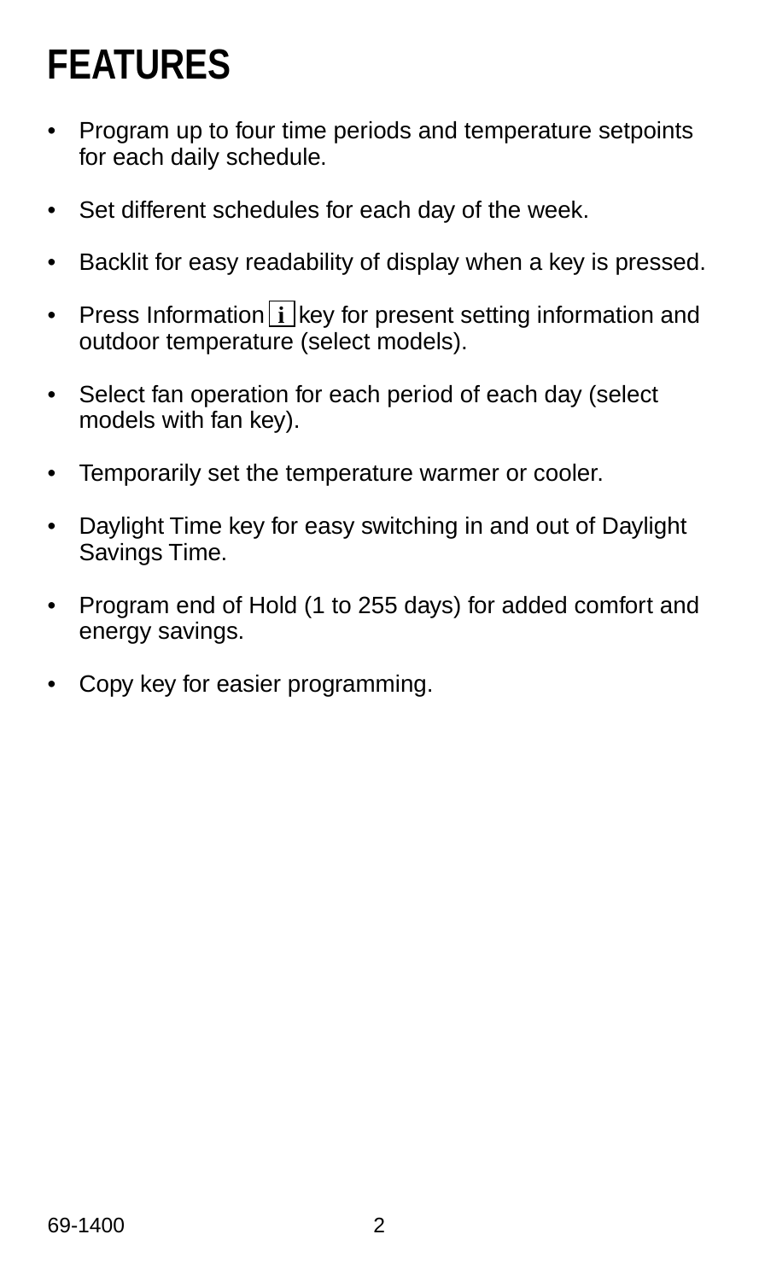# **FEATURES**

- Program up to four time periods and temperature setpoints for each daily schedule.
- Set different schedules for each day of the week.
- Backlit for easy readability of display when a key is pressed.
- Press Information **i** key for present setting information and outdoor temperature (select models).
- Select fan operation for each period of each day (select models with fan key).
- Temporarily set the temperature warmer or cooler.
- Daylight Time key for easy switching in and out of Daylight Savings Time.
- Program end of Hold (1 to 255 days) for added comfort and energy savings.
- Copy key for easier programming.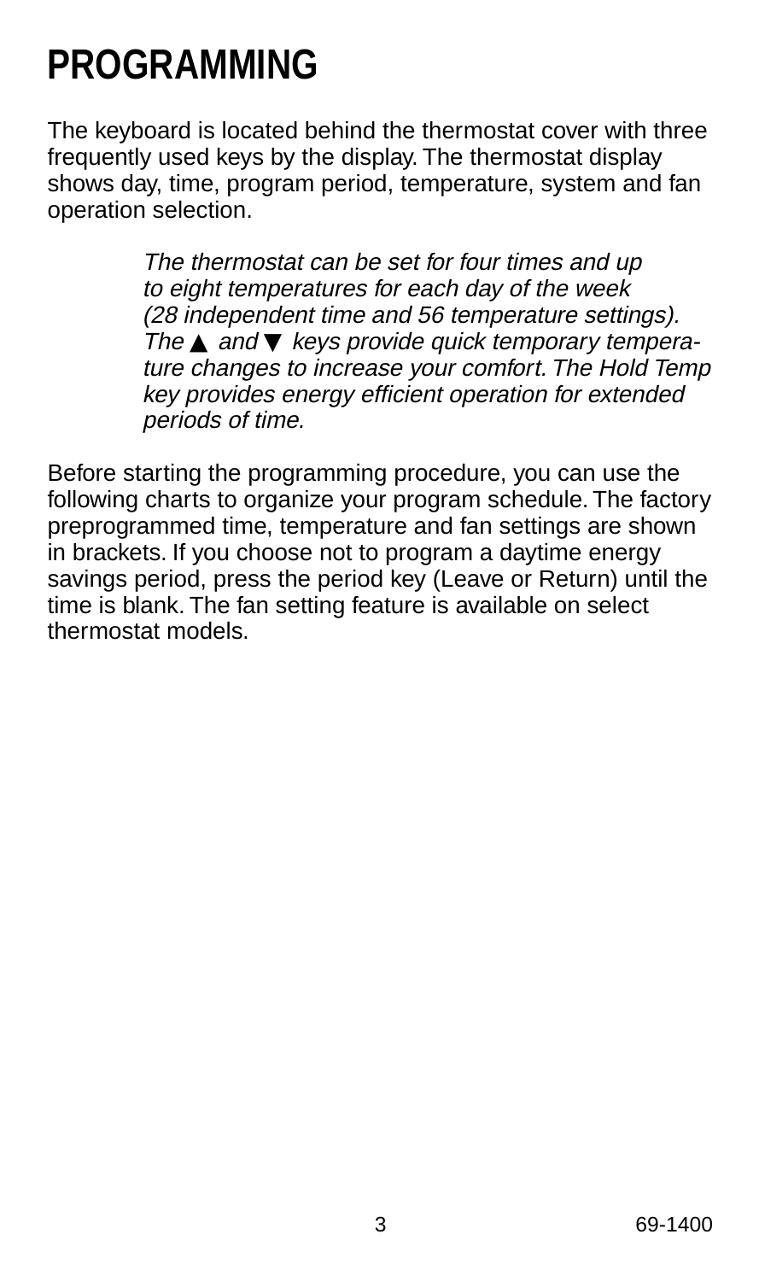# **PROGRAMMING**

The keyboard is located behind the thermostat cover with three frequently used keys by the display. The thermostat display shows day, time, program period, temperature, system and fan operation selection.

> The thermostat can be set for four times and up to eight temperatures for each day of the week (28 independent time and 56 temperature settings). The  $\triangle$  and  $\nabla$  keys provide quick temporary temperature changes to increase your comfort. The Hold Temp key provides energy efficient operation for extended periods of time.

Before starting the programming procedure, you can use the following charts to organize your program schedule. The factory preprogrammed time, temperature and fan settings are shown in brackets. If you choose not to program a daytime energy savings period, press the period key (Leave or Return) until the time is blank. The fan setting feature is available on select thermostat models.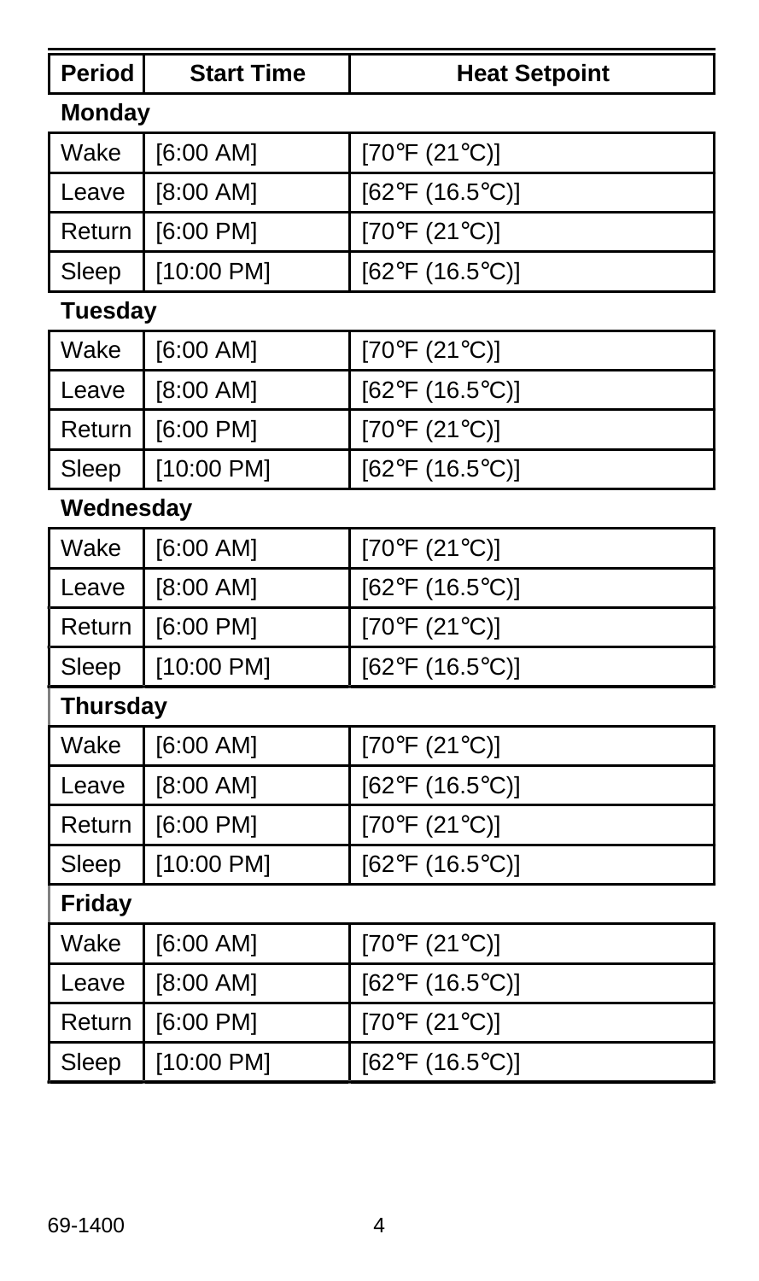| Period          | <b>Start Time</b> | <b>Heat Setpoint</b>            |
|-----------------|-------------------|---------------------------------|
| <b>Monday</b>   |                   |                                 |
| Wake            | [6:00 AM]         | $[70^{\circ}F(21^{\circ}C)]$    |
| Leave           | [8:00 AM]         | $[62^{\circ}F (16.5^{\circ}C)]$ |
| Return          | [6:00 PM]         | $[70^{\circ}F(21^{\circ}C)]$    |
| Sleep           | [10:00 PM]        | $[62^{\circ}F (16.5^{\circ}C)]$ |
| <b>Tuesday</b>  |                   |                                 |
| Wake            | [6:00 AM]         | [70°F (21°C)]                   |
| Leave           | [8:00 AM]         | $[62^{\circ}F (16.5^{\circ}C)]$ |
| Return          | [6:00 P M]        | $[70^{\circ}F(21^{\circ}C)]$    |
| Sleep           | [10:00 PM]        | $[62^{\circ}F (16.5^{\circ}C)]$ |
| Wednesday       |                   |                                 |
| Wake            | [6:00 AM]         | $[70^{\circ}F(21^{\circ}C)]$    |
| Leave           | [8:00 AM]         | [62°F (16.5°C)]                 |
| Return          | [6:00 P M]        | [70°F (21°C)]                   |
| Sleep           | [10:00 P M]       | $[62^{\circ}F (16.5^{\circ}C)]$ |
| <b>Thursday</b> |                   |                                 |
| Wake            | [6:00 AM]         | $[70^{\circ}F(21^{\circ}C)]$    |
| Leave           | [8:00 AM]         | $[62^{\circ}F (16.5^{\circ}C)]$ |
| Return          | [6:00 PM]         | [70°F (21°C)]                   |
| Sleep           | [10:00 PM]        | $[62^{\circ}F (16.5^{\circ}C)]$ |
| Friday          |                   |                                 |
| Wake            | [6:00 AM]         | $[70^{\circ}F(21^{\circ}C)]$    |
| Leave           | [8:00 AM]         | $[62^{\circ}F (16.5^{\circ}C)]$ |
| Return          | [6:00 PM]         | [70°F (21°C)]                   |
| Sleep           | $[10:00$ PM]      | $[62^{\circ}F (16.5^{\circ}C)]$ |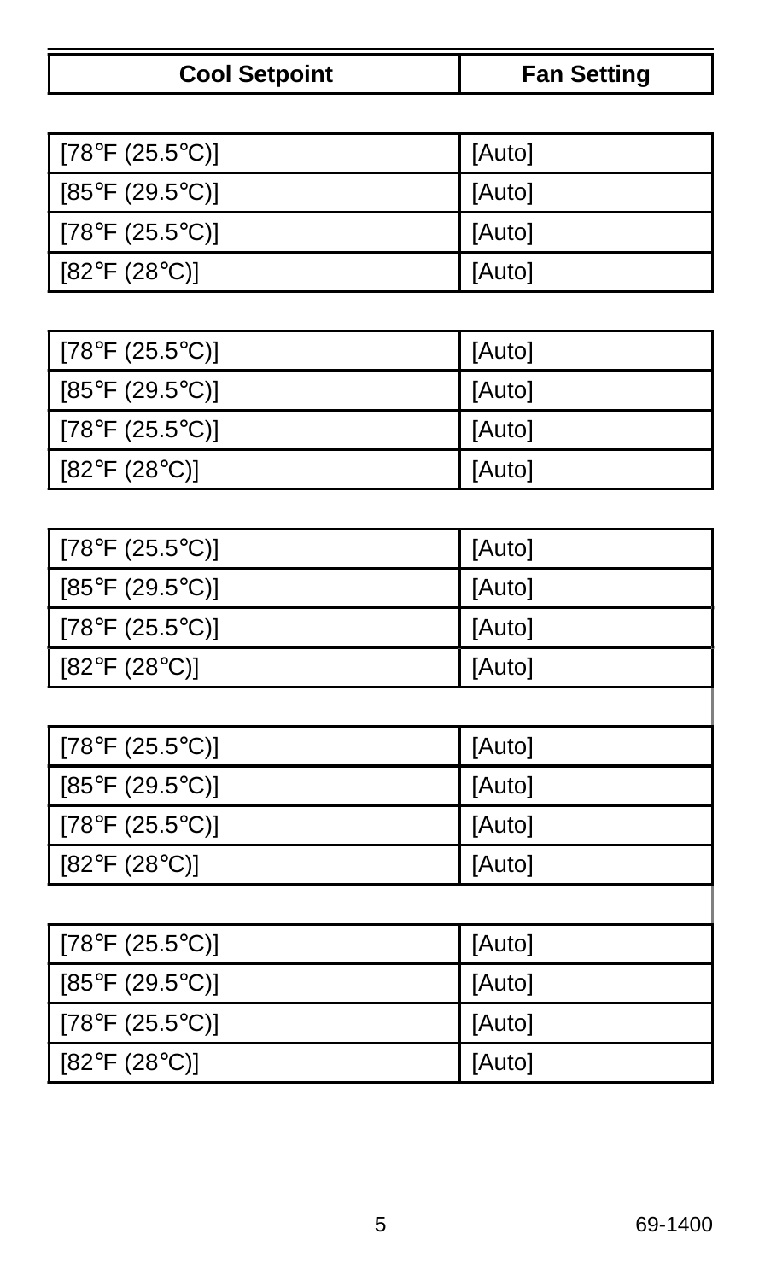| $[78^{\circ}F (25.5^{\circ}C)]$ | [Auto] |
|---------------------------------|--------|
| $[85^{\circ}F (29.5^{\circ}C)]$ | [Auto] |
| $[78^{\circ}F (25.5^{\circ}C)]$ | [Auto] |
| [82°F (28°C)]                   | [Auto] |
|                                 |        |
| $[78^{\circ}F (25.5^{\circ}C)]$ | [Auto] |
| $[85^{\circ}F (29.5^{\circ}C)]$ | [Auto] |
| $[78^{\circ}F (25.5^{\circ}C)]$ | [Auto] |
| $[82^{\circ}F (28^{\circ}C)]$   | [Auto] |

| [78°F (25.5°C)]               | [Auto] |
|-------------------------------|--------|
| $[85^{\circ}$ F (29.5°C)]     | [Auto] |
| [78°F (25.5°C)]               | [Auto] |
| $[82^{\circ}F (28^{\circ}C)]$ | [Auto] |
|                               |        |
| [78°F (25.5°C)]               | [Auto] |

[85°F (29.5°C)] [Auto] [78°F (25.5°C)] [Auto] [82°F (28°C)] [Auto]

| [78°F (25.5°C)] | [Auto] |
|-----------------|--------|
| [85°F (29.5°C)] | [Auto] |
| [78°F (25.5°C)] | [Auto] |
| [82°F (28°C)]   | [Auto] |

| <b>Cool Setpoint</b> | <b>Fan Setting</b> |
|----------------------|--------------------|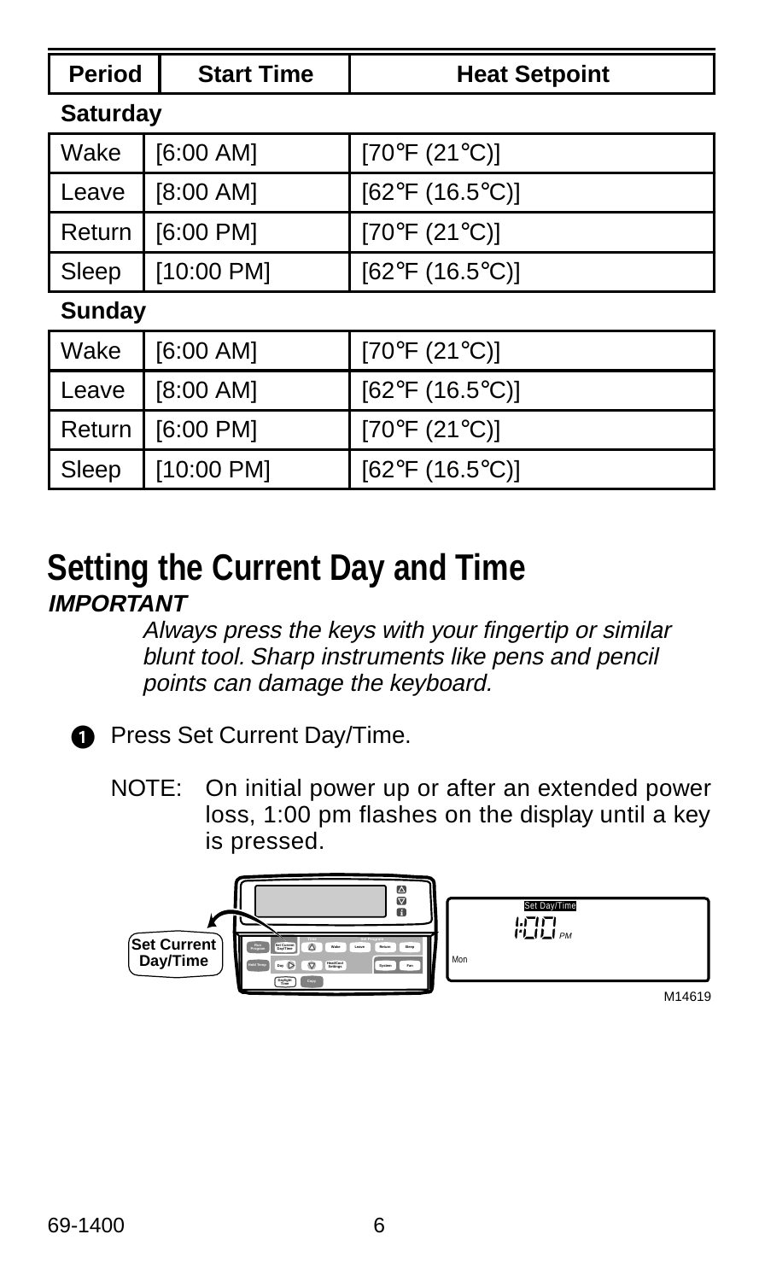| <b>Period</b>   | <b>Start Time</b> | <b>Heat Setpoint</b>            |
|-----------------|-------------------|---------------------------------|
| <b>Saturday</b> |                   |                                 |
| Wake            | [6:00 AM]         | [70°F (21°C)]                   |
| Leave           | [8:00 AM]         | [62°F (16.5°C)]                 |
| Return          | [6:00 P M]        | [70°F (21°C)]                   |
| Sleep           | [10:00 PM]        | [62°F (16.5°C)]                 |
| Sunday          |                   |                                 |
| Wake            | [6:00 AM]         | [70°F (21°C)]                   |
| Leave           | [8:00 AM]         | [62°F (16.5°C)]                 |
| Return          | [6:00 PM]         | $[70^{\circ}F(21^{\circ}C)]$    |
| Sleep           | [10:00 PM]        | $[62^{\circ}F (16.5^{\circ}C)]$ |

#### **Setting the Current Day and Time IMPORTANT**

Always press the keys with your fingertip or similar blunt tool. Sharp instruments like pens and pencil points can damage the keyboard.



**Press Set Current Day/Time.** 

NOTE: On initial power up or after an extended power loss, 1:00 pm flashes on the display until a key is pressed.

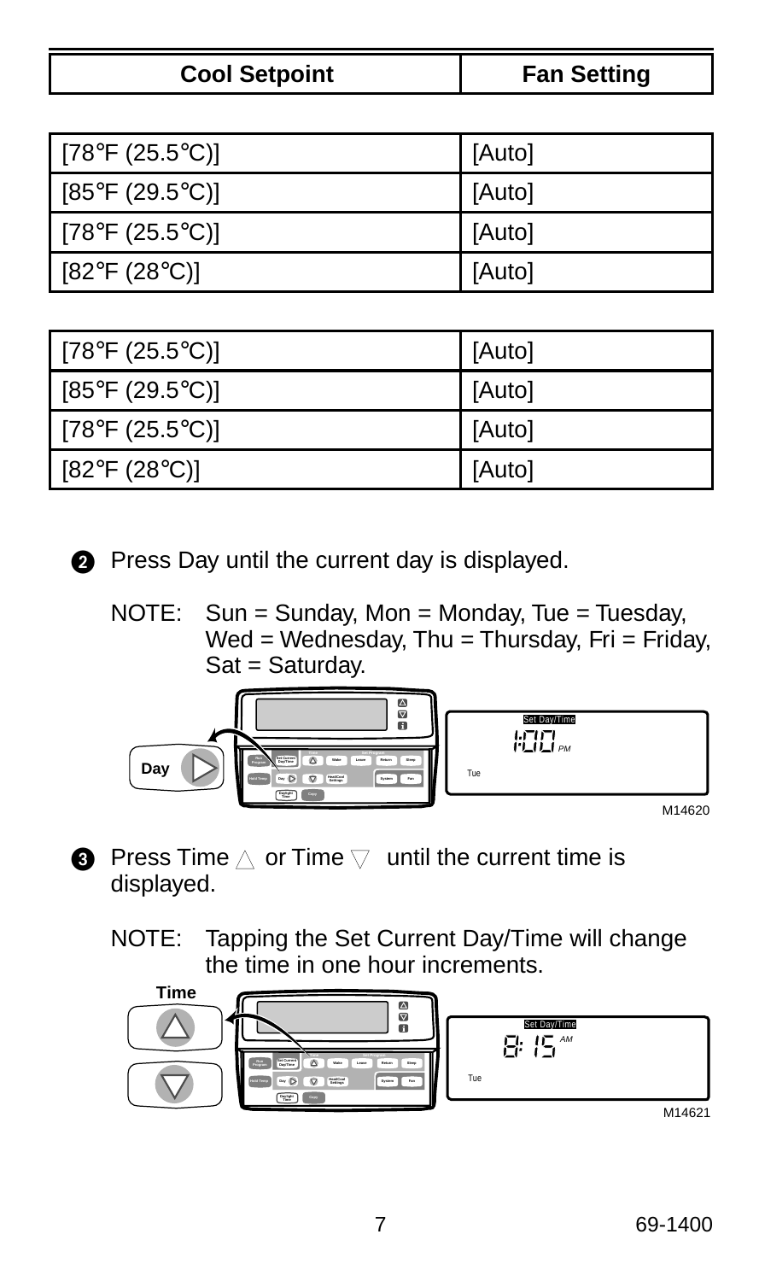| <b>Cool Setpoint</b> | <b>Fan Setting</b> |
|----------------------|--------------------|
|                      |                    |

| [78°F (25.5°C)]               | [Auto] |
|-------------------------------|--------|
| [85°F (29.5°C)]               | [Auto] |
| [78°F (25.5°C)]               | [Auto] |
| $[82^{\circ}F (28^{\circ}C)]$ | [Auto] |

| [78°F (25.5°C)] | [Auto] |
|-----------------|--------|
| [85°F (29.5°C)] | [Auto] |
| [78°F (25.5°C)] | [Auto] |
| [82°F (28°C)]   | [Auto] |

- **2** Press Day until the current day is displayed.
	- NOTE: Sun = Sunday, Mon = Monday, Tue = Tuesday, Wed = Wednesday, Thu = Thursday, Fri = Friday, Sat = Saturday.



- **O** Press Time  $\triangle$  or Time  $\nabla$  until the current time is displayed.
	- NOTE: Tapping the Set Current Day/Time will change the time in one hour increments.

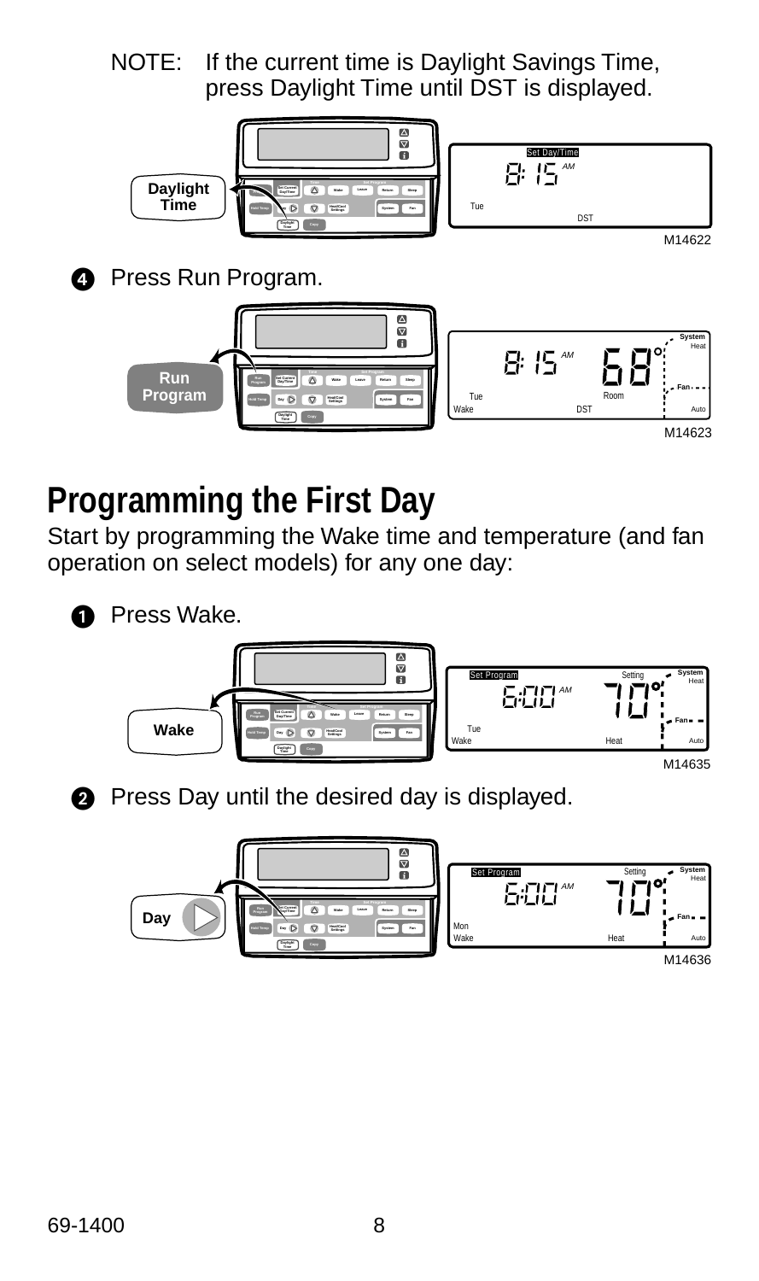NOTE: If the current time is Daylight Savings Time, press Daylight Time until DST is displayed.



M14622



**@** Press Run Program.



## **Programming the First Day**

Start by programming the Wake time and temperature (and fan operation on select models) for any one day:



**O** Press Wake.





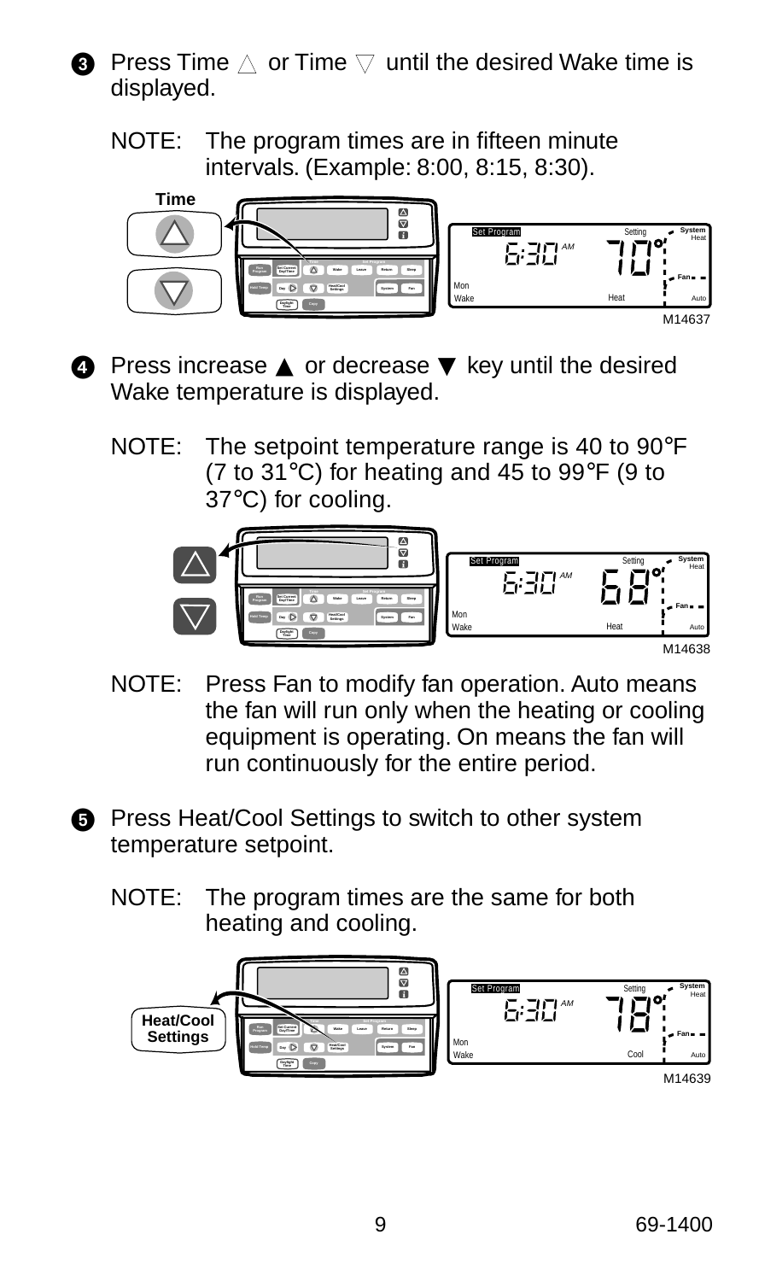- **O** Press Time  $\triangle$  or Time  $\triangledown$  until the desired Wake time is displayed.
	- NOTE: The program times are in fifteen minute intervals. (Example: 8:00, 8:15, 8:30).



- **A** Press increase **▲** or decrease **▼** key until the desired Wake temperature is displayed.
	- NOTE: The setpoint temperature range is 40 to 90°F (7 to 31°C) for heating and 45 to 99°F (9 to 37°C) for cooling.

![](_page_8_Picture_5.jpeg)

- NOTE: Press Fan to modify fan operation. Auto means the fan will run only when the heating or cooling equipment is operating. On means the fan will run continuously for the entire period.
- **O** Press Heat/Cool Settings to switch to other system temperature setpoint.
	- NOTE: The program times are the same for both heating and cooling.

![](_page_8_Figure_9.jpeg)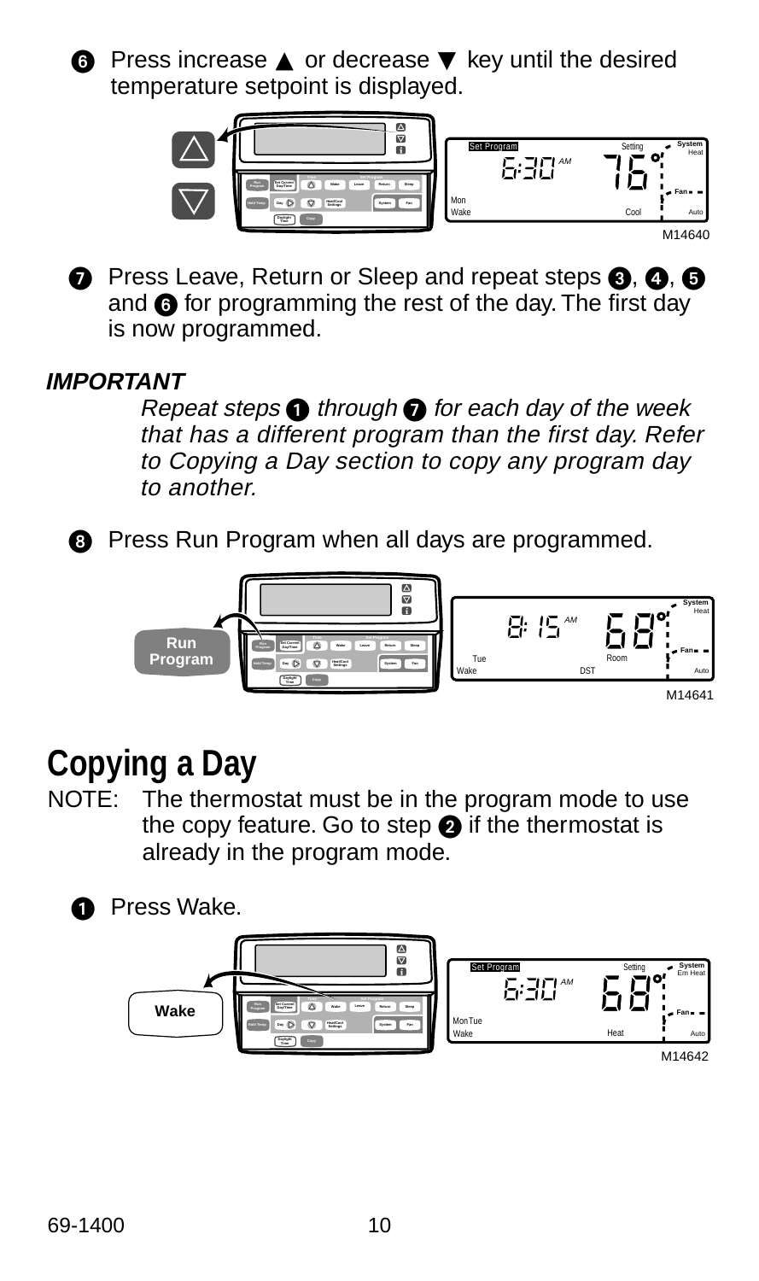![](_page_9_Picture_0.jpeg)

 Press increase ▲ or decrease ▼ key until the desired temperature setpoint is displayed.

![](_page_9_Figure_2.jpeg)

**P** Press Leave, Return or Sleep and repeat steps  $\bigcirc$ ,  $\bigcirc$ ,  $\bigcirc$ and  $\odot$  for programming the rest of the day. The first day is now programmed.

#### **IMPORTANT**

Repeat steps  $\bigcirc$  through  $\bigcirc$  for each day of the week that has a different program than the first day. Refer to Copying a Day section to copy any program day to another.

![](_page_9_Picture_6.jpeg)

**8** Press Run Program when all days are programmed.

![](_page_9_Picture_8.jpeg)

## **Copying a Day**

NOTE: The thermostat must be in the program mode to use the copy feature. Go to step  $\bullet$  if the thermostat is already in the program mode.

![](_page_9_Picture_11.jpeg)

**O** Press Wake.

![](_page_9_Figure_13.jpeg)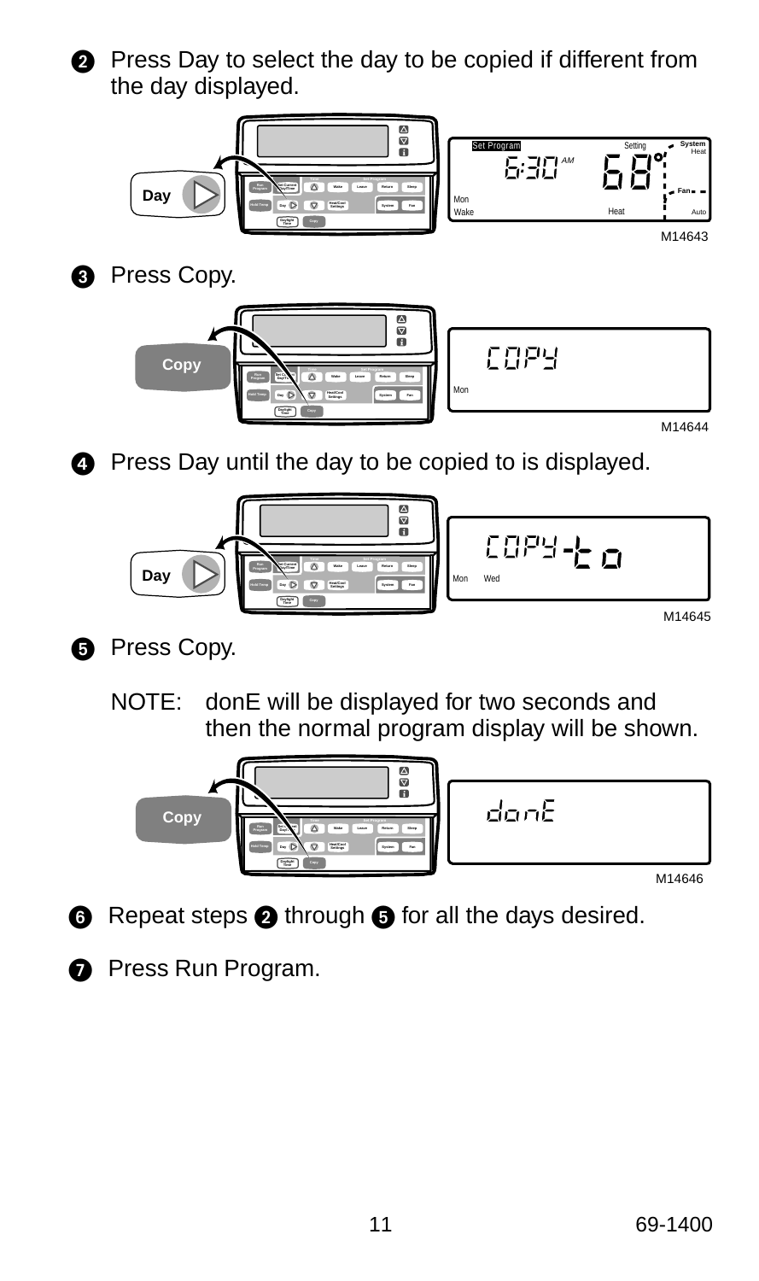![](_page_10_Picture_0.jpeg)

**2** Press Day to select the day to be copied if different from the day displayed.

![](_page_10_Figure_2.jpeg)

![](_page_10_Picture_3.jpeg)

**8** Press Copy.

![](_page_10_Picture_5.jpeg)

![](_page_10_Picture_6.jpeg)

**Press Day until the day to be copied to is displayed.** 

![](_page_10_Picture_8.jpeg)

- **B** Press Copy.
	- NOTE: donE will be displayed for two seconds and then the normal program display will be shown.

![](_page_10_Picture_11.jpeg)

- $\bigcirc$  Repeat steps  $\bigcirc$  through  $\bigcirc$  for all the days desired.
- **Press Run Program.**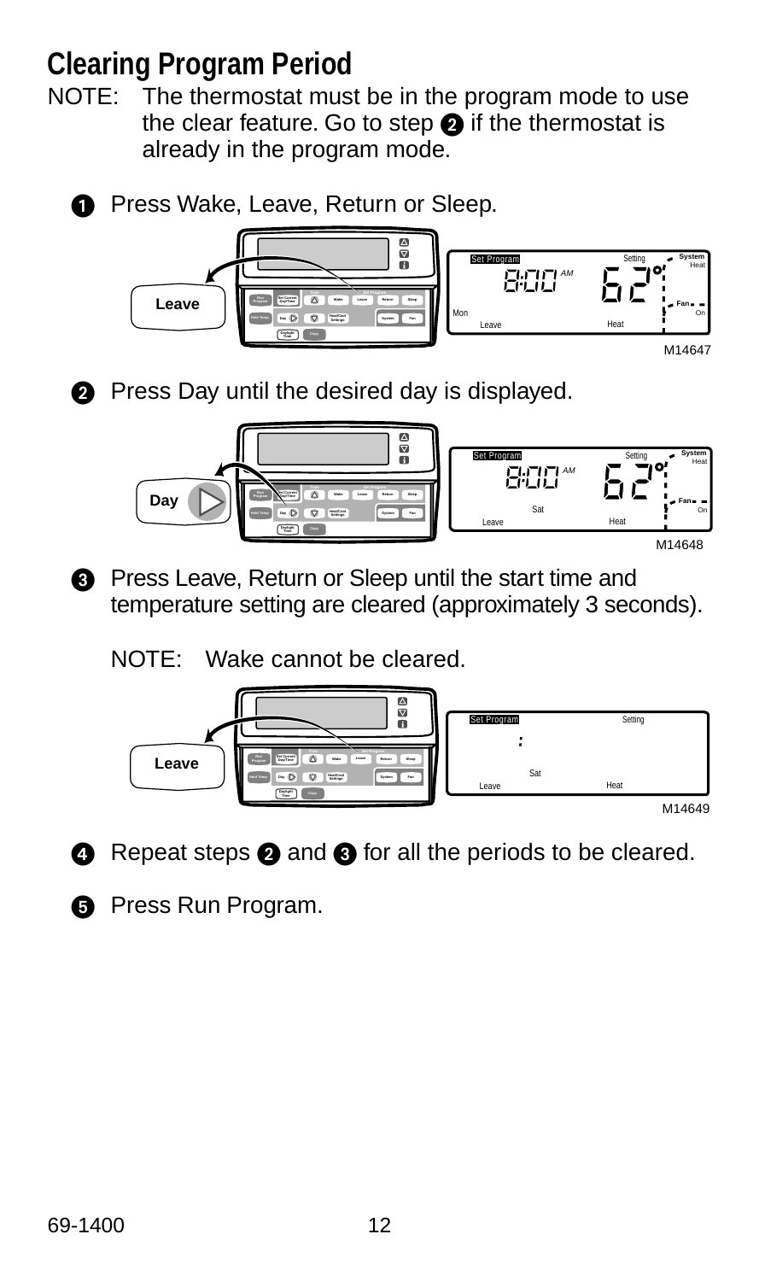### **Clearing Program Period**

NOTE: The thermostat must be in the program mode to use the clear feature. Go to step  $\bullet$  if the thermostat is already in the program mode.

![](_page_11_Picture_2.jpeg)

**O** Press Wake, Leave, Return or Sleep.

![](_page_11_Picture_4.jpeg)

![](_page_11_Picture_5.jpeg)

**2** Press Day until the desired day is displayed.

![](_page_11_Picture_7.jpeg)

**8** Press Leave, Return or Sleep until the start time and temperature setting are cleared (approximately 3 seconds).

NOTE: Wake cannot be cleared.

![](_page_11_Figure_10.jpeg)

 $\bullet$  Repeat steps  $\bullet$  and  $\bullet$  for all the periods to be cleared.

![](_page_11_Picture_12.jpeg)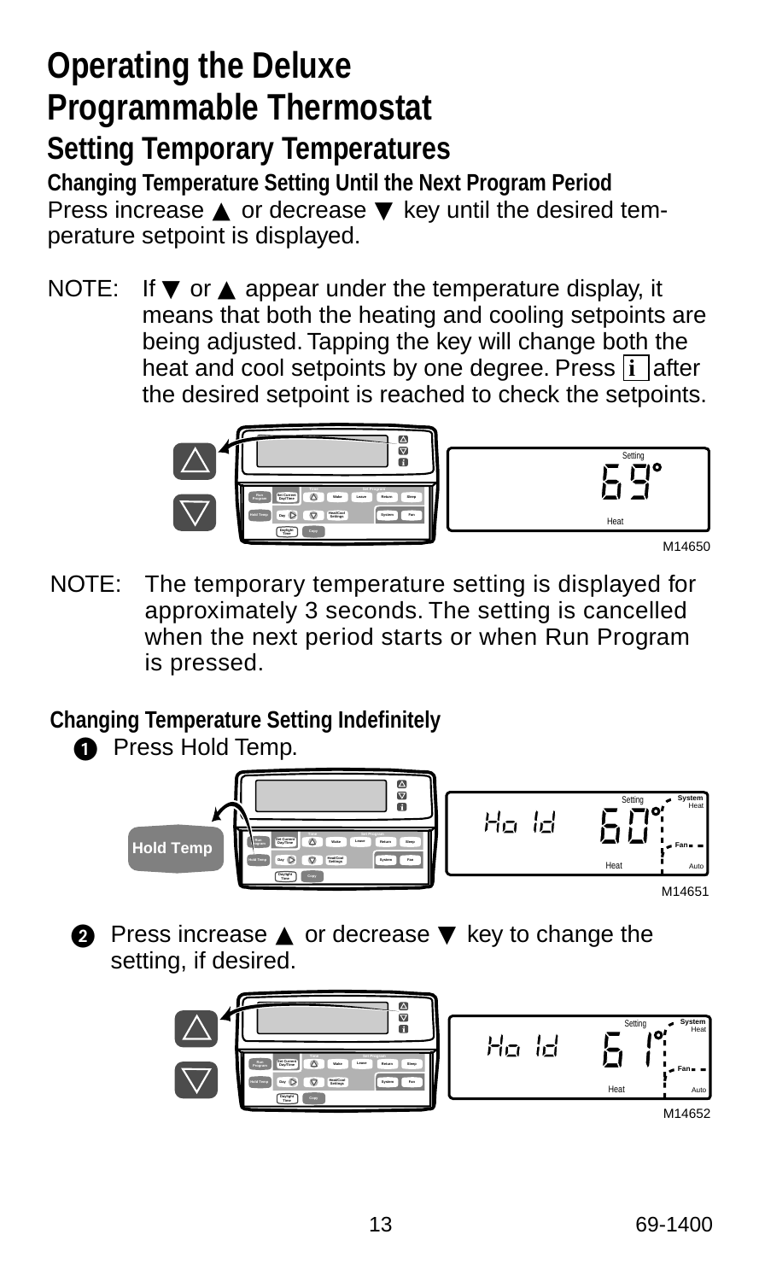## **Operating the Deluxe Programmable Thermostat Setting Temporary Temperatures**

**Changing Temperature Setting Until the Next Program Period** Press increase ▲ or decrease ▼ key until the desired temperature setpoint is displayed.

NOTE: If  $\blacktriangledown$  or  $\blacktriangle$  appear under the temperature display, it means that both the heating and cooling setpoints are being adjusted. Tapping the key will change both the heat and cool setpoints by one degree. Press **i** after the desired setpoint is reached to check the setpoints.

![](_page_12_Picture_3.jpeg)

![](_page_12_Picture_4.jpeg)

M14650

NOTE: The temporary temperature setting is displayed for approximately 3 seconds. The setting is cancelled when the next period starts or when Run Program is pressed.

#### **Changing Temperature Setting Indefinitely**

![](_page_12_Picture_8.jpeg)

**O** Press Hold Temp.

![](_page_12_Picture_10.jpeg)

**2** Press increase **▲** or decrease ▼ key to change the setting, if desired.

![](_page_12_Picture_12.jpeg)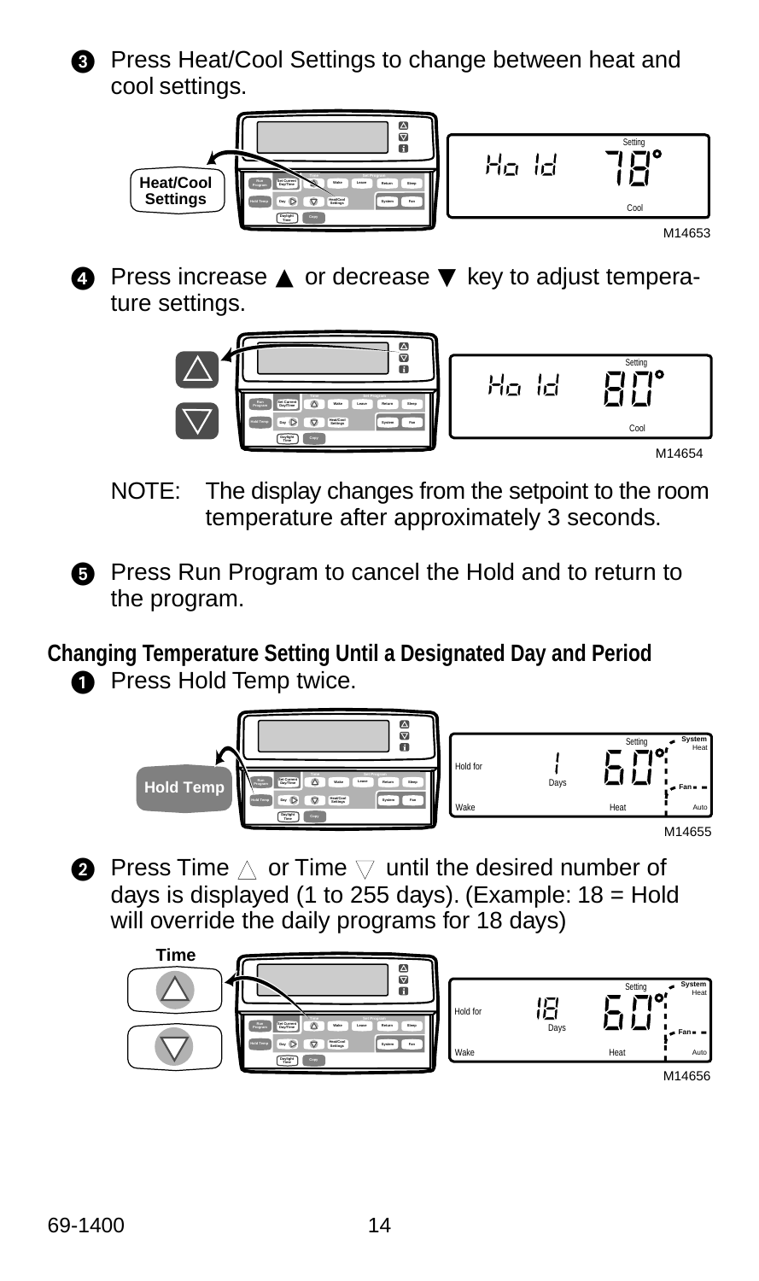![](_page_13_Picture_0.jpeg)

**8** Press Heat/Cool Settings to change between heat and cool settings.

![](_page_13_Figure_2.jpeg)

 Press increase ▲ or decrease ▼ key to adjust temperature settings.

![](_page_13_Picture_4.jpeg)

- NOTE: The display changes from the setpoint to the room temperature after approximately 3 seconds.
- **O** Press Run Program to cancel the Hold and to return to the program.

**Changing Temperature Setting Until a Designated Day and Period**

**O** Press Hold Temp twice.

![](_page_13_Picture_9.jpeg)

 $\bullet\,$  Press Time  $\vartriangle$  or Time  $\triangledown$  until the desired number of days is displayed (1 to 255 days). (Example:  $18 =$  Hold will override the daily programs for 18 days)

![](_page_13_Figure_11.jpeg)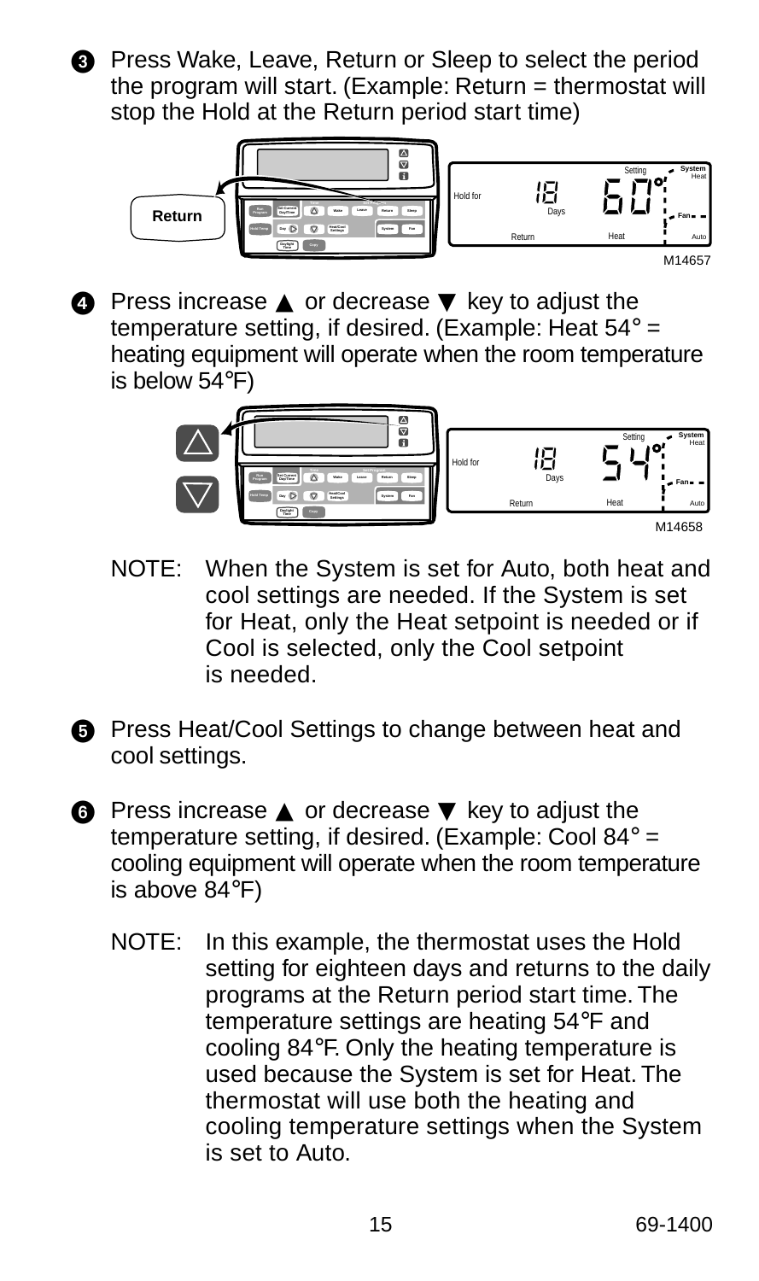![](_page_14_Picture_0.jpeg)

**8** Press Wake, Leave, Return or Sleep to select the period the program will start. (Example: Return = thermostat will stop the Hold at the Return period start time)

![](_page_14_Figure_2.jpeg)

**4** Press increase **▲** or decrease **▼** key to adjust the temperature setting, if desired. (Example: Heat 54° = heating equipment will operate when the room temperature is below 54°F)

![](_page_14_Figure_4.jpeg)

- NOTE: When the System is set for Auto, both heat and cool settings are needed. If the System is set for Heat, only the Heat setpoint is needed or if Cool is selected, only the Cool setpoint is needed.
- **B** Press Heat/Cool Settings to change between heat and cool settings.
- Press increase ▲ or decrease ▼ key to adjust the temperature setting, if desired. (Example: Cool 84° = cooling equipment will operate when the room temperature is above 84°F)
	- NOTE: In this example, the thermostat uses the Hold setting for eighteen days and returns to the daily programs at the Return period start time. The temperature settings are heating 54°F and cooling 84°F. Only the heating temperature is used because the System is set for Heat. The thermostat will use both the heating and cooling temperature settings when the System is set to Auto.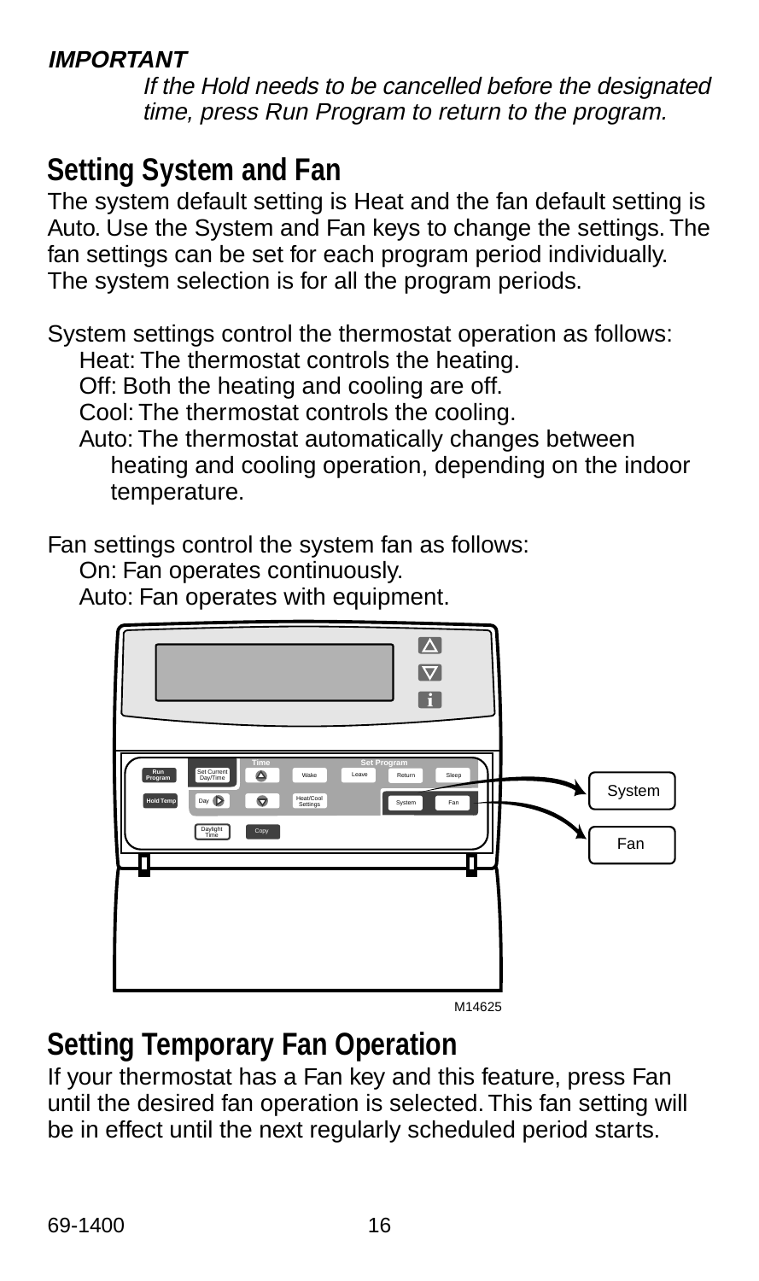#### **IMPORTANT**

If the Hold needs to be cancelled before the designated time, press Run Program to return to the program.

#### **Setting System and Fan**

The system default setting is Heat and the fan default setting is Auto. Use the System and Fan keys to change the settings. The fan settings can be set for each program period individually. The system selection is for all the program periods.

System settings control the thermostat operation as follows: Heat: The thermostat controls the heating.

Off: Both the heating and cooling are off.

Cool: The thermostat controls the cooling.

Auto: The thermostat automatically changes between heating and cooling operation, depending on the indoor temperature.

Fan settings control the system fan as follows:

On: Fan operates continuously.

Auto: Fan operates with equipment.

![](_page_15_Figure_12.jpeg)

M14625

#### **Setting Temporary Fan Operation**

If your thermostat has a Fan key and this feature, press Fan until the desired fan operation is selected. This fan setting will be in effect until the next regularly scheduled period starts.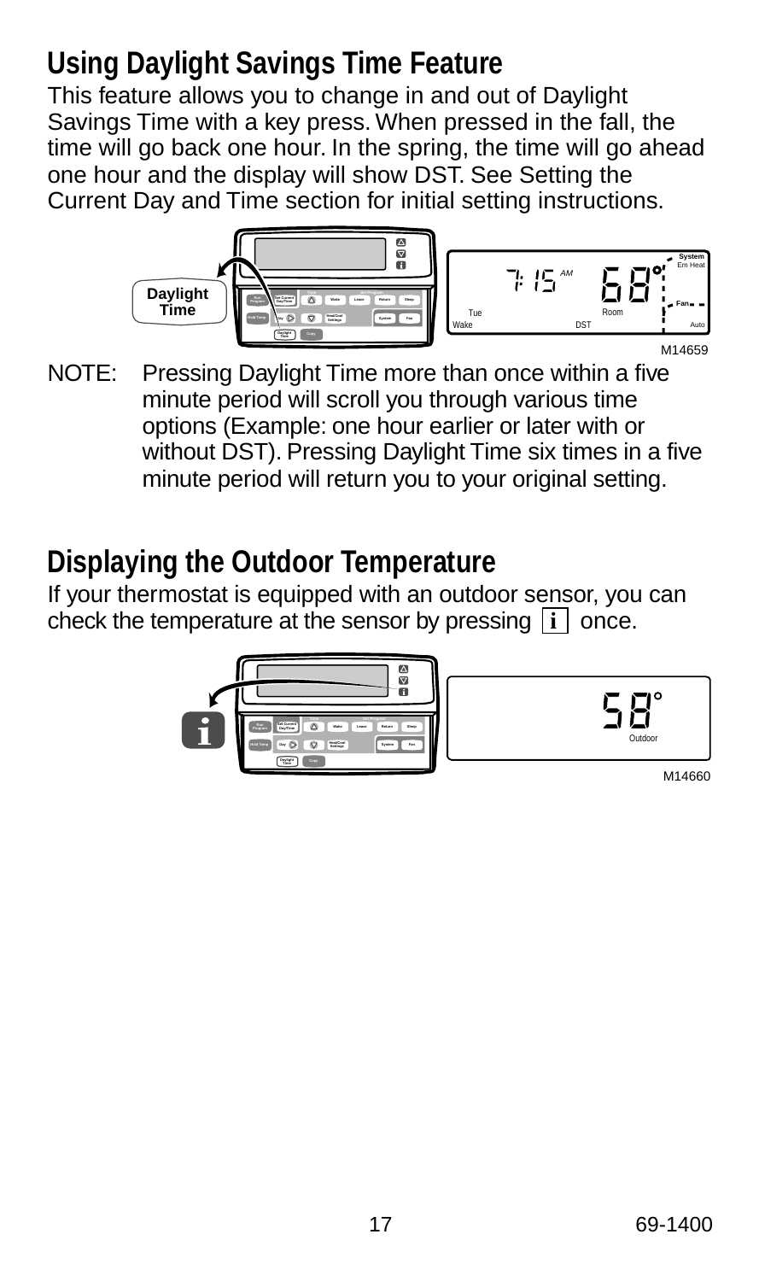### **Using Daylight Savings Time Feature**

This feature allows you to change in and out of Daylight Savings Time with a key press. When pressed in the fall, the time will go back one hour. In the spring, the time will go ahead one hour and the display will show DST. See Setting the Current Day and Time section for initial setting instructions.

![](_page_16_Figure_2.jpeg)

![](_page_16_Figure_3.jpeg)

NOTE: Pressing Daylight Time more than once within a five minute period will scroll you through various time options (Example: one hour earlier or later with or without DST). Pressing Daylight Time six times in a five minute period will return you to your original setting.

#### **Displaying the Outdoor Temperature**

If your thermostat is equipped with an outdoor sensor, you can check the temperature at the sensor by pressing  $\begin{bmatrix} i \end{bmatrix}$  once.

![](_page_16_Picture_7.jpeg)

|--|

| M14660 |
|--------|
|        |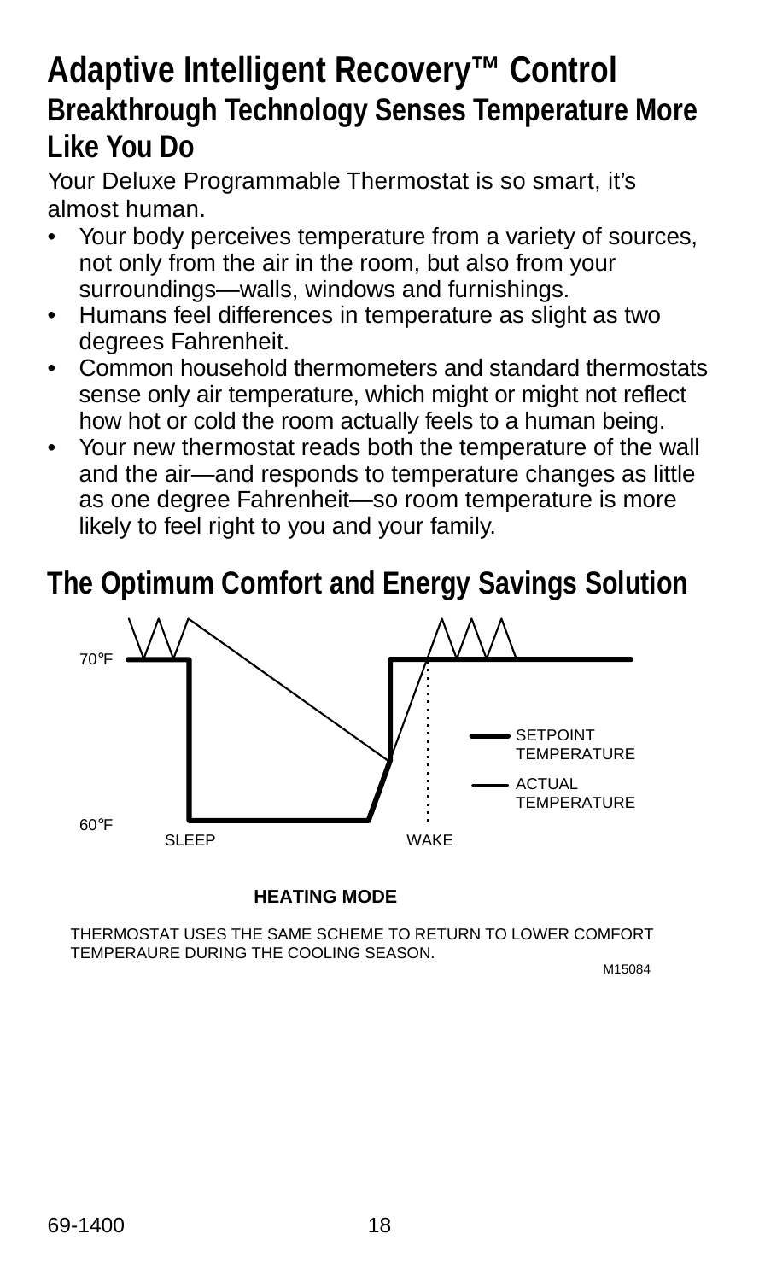### **Adaptive Intelligent Recovery™ Control Breakthrough Technology Senses Temperature More Like You Do**

Your Deluxe Programmable Thermostat is so smart, it's almost human.

- Your body perceives temperature from a variety of sources, not only from the air in the room, but also from your surroundings—walls, windows and furnishings.
- Humans feel differences in temperature as slight as two degrees Fahrenheit.
- Common household thermometers and standard thermostats sense only air temperature, which might or might not reflect how hot or cold the room actually feels to a human being.
- Your new thermostat reads both the temperature of the wall and the air—and responds to temperature changes as little as one degree Fahrenheit—so room temperature is more likely to feel right to you and your family.

#### **The Optimum Comfort and Energy Savings Solution**

![](_page_17_Figure_7.jpeg)

#### **HEATING MODE**

THERMOSTAT USES THE SAME SCHEME TO RETURN TO LOWER COMFORT TEMPERAURE DURING THE COOLING SEASON.

M15084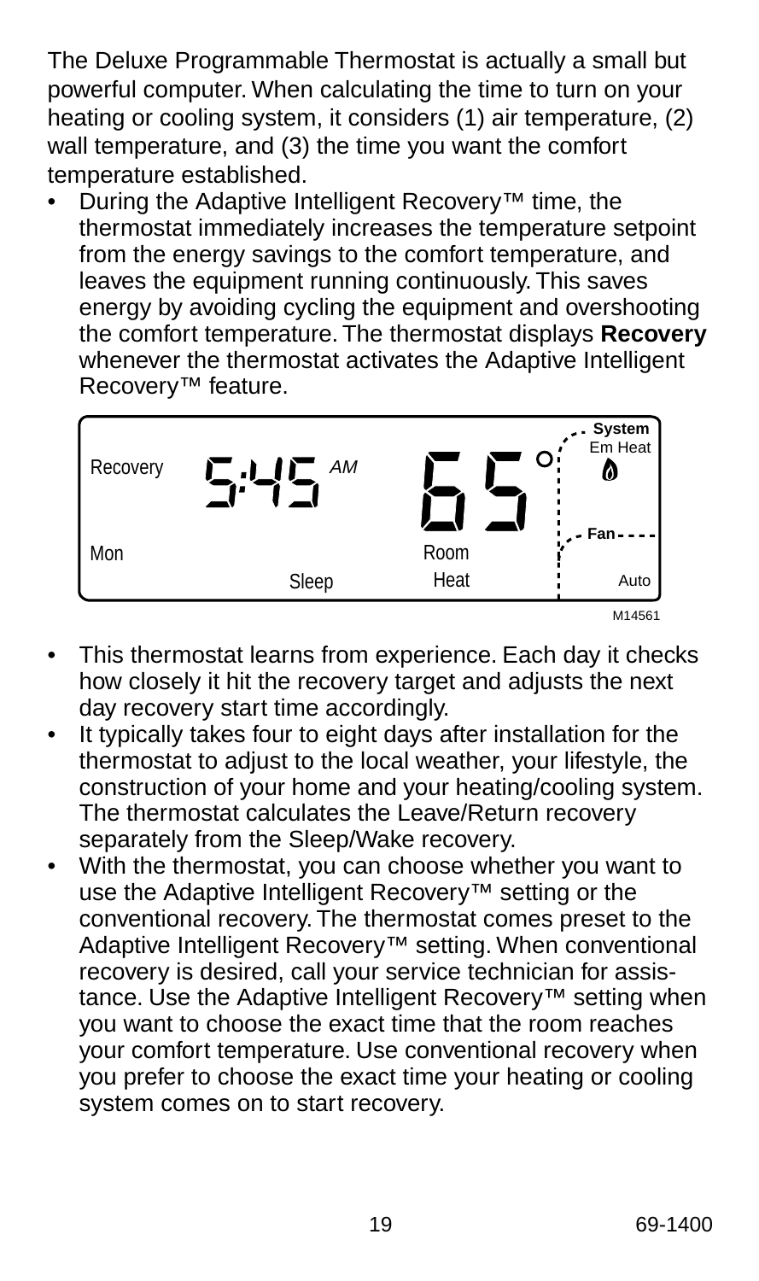The Deluxe Programmable Thermostat is actually a small but powerful computer. When calculating the time to turn on your heating or cooling system, it considers (1) air temperature, (2) wall temperature, and (3) the time you want the comfort temperature established.

• During the Adaptive Intelligent Recovery™ time, the thermostat immediately increases the temperature setpoint from the energy savings to the comfort temperature, and leaves the equipment running continuously. This saves energy by avoiding cycling the equipment and overshooting the comfort temperature. The thermostat displays **Recovery** whenever the thermostat activates the Adaptive Intelligent Recovery™ feature.

| Recovery | АM<br>ر ہے۔ |              | - <b>System</b><br>Em Heat<br>Ø |
|----------|-------------|--------------|---------------------------------|
| Mon      | Sleep       | Room<br>Heat | Fan-<br>Auto                    |
|          |             |              | M14561                          |

- This thermostat learns from experience. Each day it checks how closely it hit the recovery target and adjusts the next day recovery start time accordingly.
- It typically takes four to eight days after installation for the thermostat to adjust to the local weather, your lifestyle, the construction of your home and your heating/cooling system. The thermostat calculates the Leave/Return recovery separately from the Sleep/Wake recovery.
- With the thermostat, you can choose whether you want to use the Adaptive Intelligent Recovery™ setting or the conventional recovery. The thermostat comes preset to the Adaptive Intelligent Recovery™ setting. When conventional recovery is desired, call your service technician for assistance. Use the Adaptive Intelligent Recovery™ setting when you want to choose the exact time that the room reaches your comfort temperature. Use conventional recovery when you prefer to choose the exact time your heating or cooling system comes on to start recovery.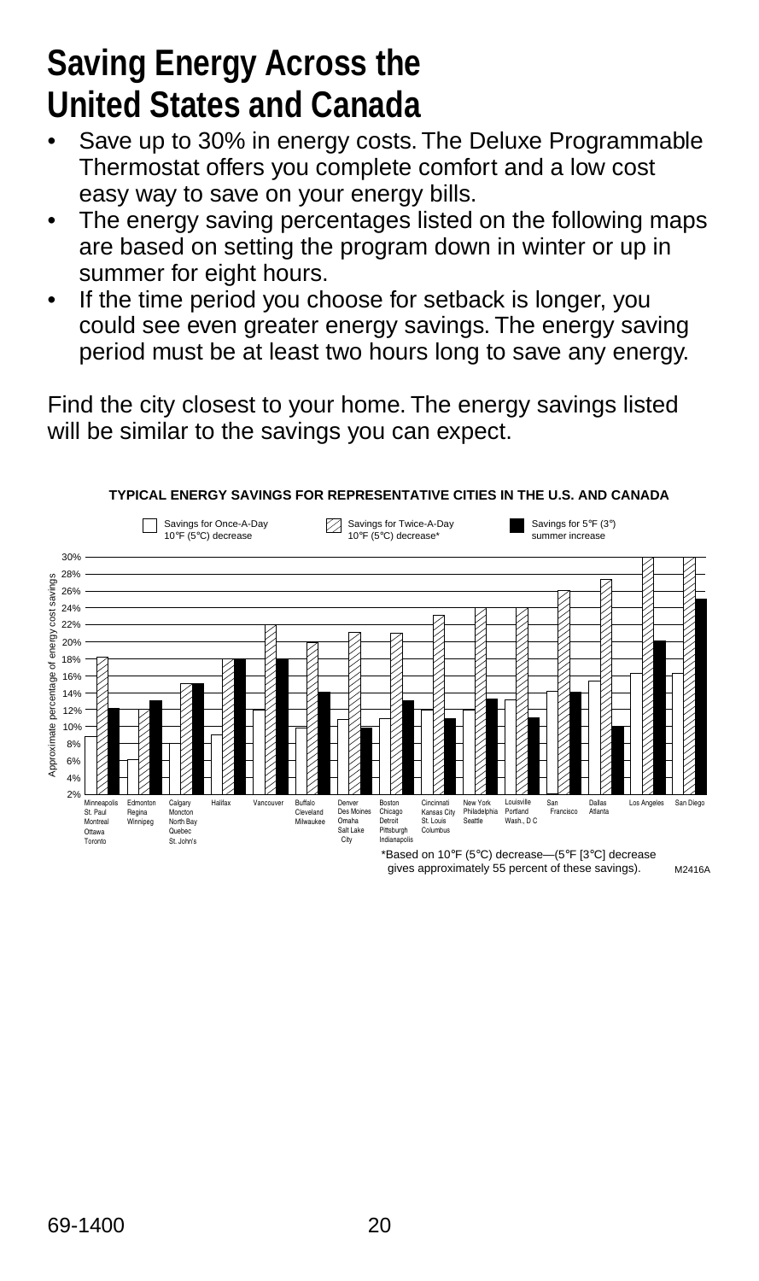## **Saving Energy Across the United States and Canada**

- Save up to 30% in energy costs. The Deluxe Programmable Thermostat offers you complete comfort and a low cost easy way to save on your energy bills.
- The energy saving percentages listed on the following maps are based on setting the program down in winter or up in summer for eight hours.
- If the time period you choose for setback is longer, you could see even greater energy savings. The energy saving period must be at least two hours long to save any energy.

Find the city closest to your home. The energy savings listed will be similar to the savings you can expect.

![](_page_19_Figure_5.jpeg)

gives approximately 55 percent of these savings). M2416A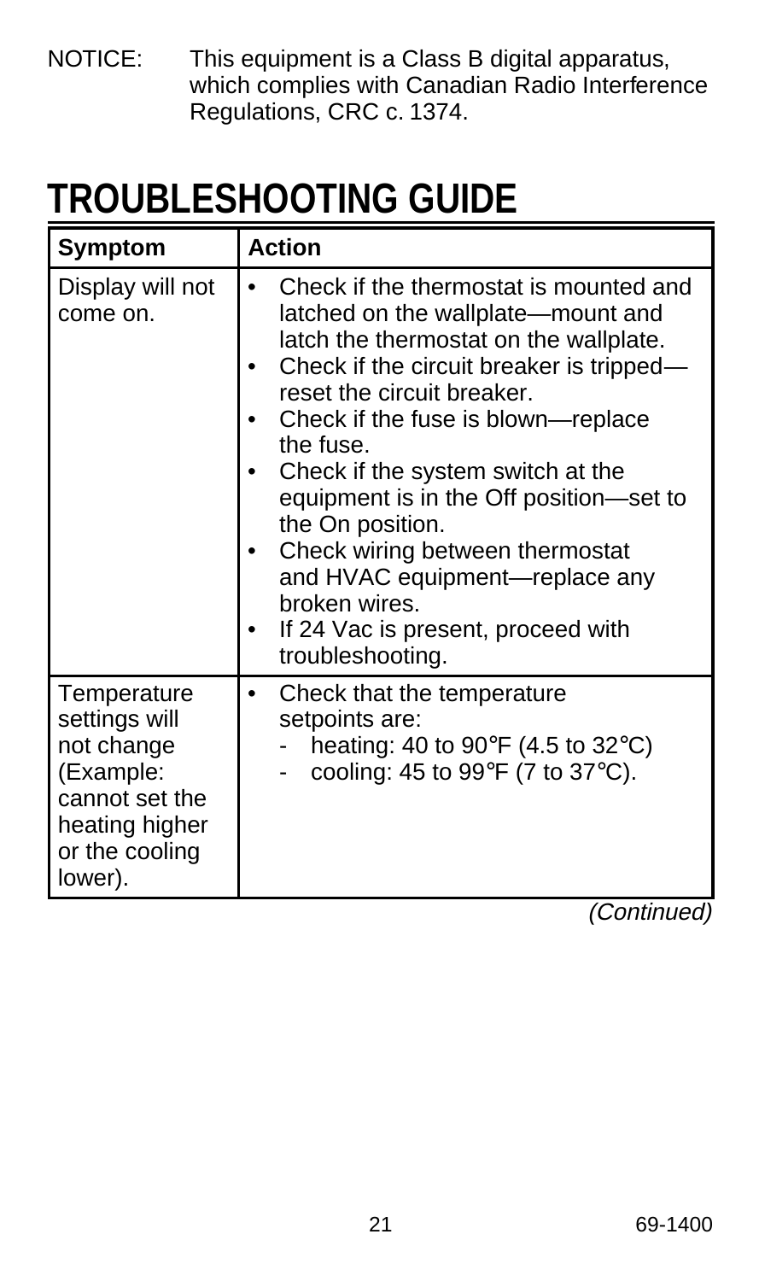NOTICE: This equipment is a Class B digital apparatus, which complies with Canadian Radio Interference Regulations, CRC c. 1374.

# **TROUBLESHOOTING GUIDE**

| Symptom                                                                                                                  | <b>Action</b>                                                                                                                                                                                                                                                                                                                                                                                                                                                                                           |  |
|--------------------------------------------------------------------------------------------------------------------------|---------------------------------------------------------------------------------------------------------------------------------------------------------------------------------------------------------------------------------------------------------------------------------------------------------------------------------------------------------------------------------------------------------------------------------------------------------------------------------------------------------|--|
| Display will not<br>come on.                                                                                             | Check if the thermostat is mounted and<br>latched on the wallplate-mount and<br>latch the thermostat on the wallplate.<br>Check if the circuit breaker is tripped-<br>reset the circuit breaker.<br>Check if the fuse is blown—replace<br>the fuse.<br>Check if the system switch at the<br>equipment is in the Off position-set to<br>the On position.<br>Check wiring between thermostat<br>and HVAC equipment—replace any<br>broken wires.<br>If 24 Vac is present, proceed with<br>troubleshooting. |  |
| Temperature<br>settings will<br>not change<br>(Example:<br>cannot set the<br>heating higher<br>or the cooling<br>lower). | Check that the temperature<br>٠<br>setpoints are:<br>heating: 40 to 90 $\degree$ F (4.5 to 32 $\degree$ C)<br>cooling: 45 to 99 $\degree$ F (7 to 37 $\degree$ C).                                                                                                                                                                                                                                                                                                                                      |  |

(Continued)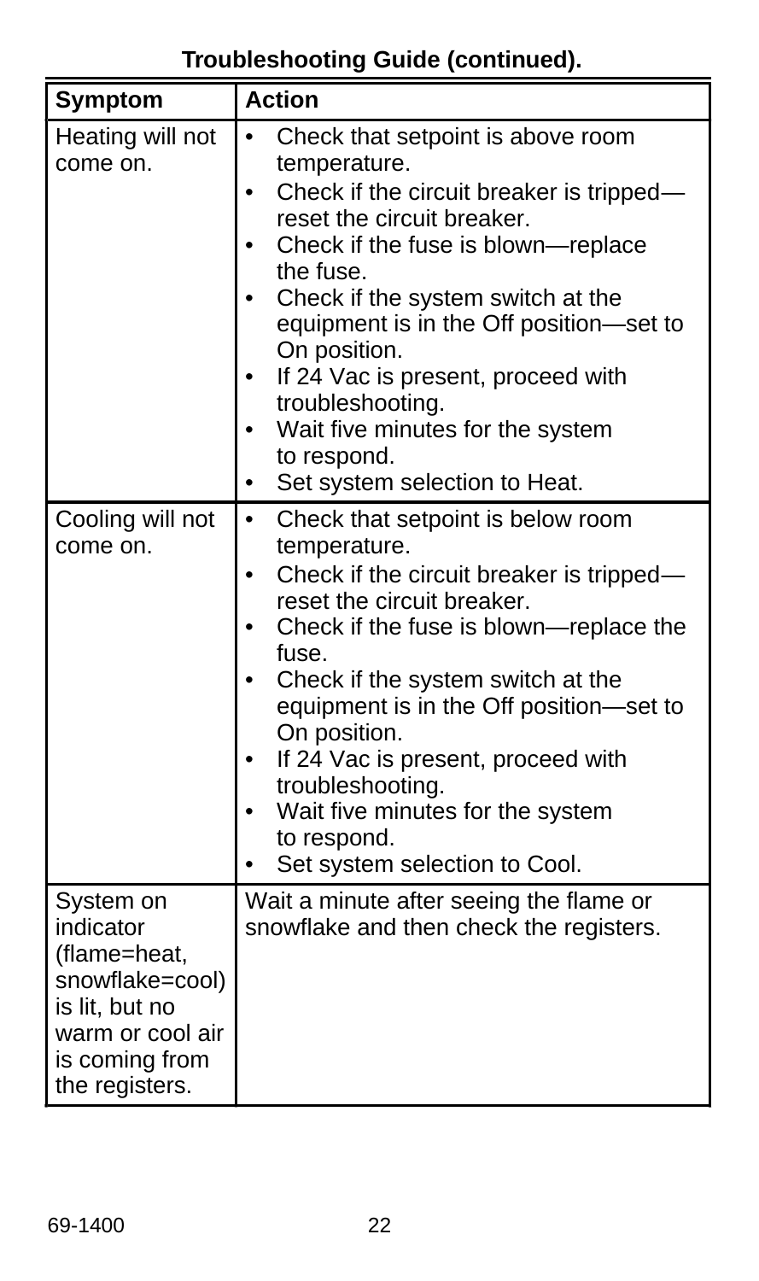**Troubleshooting Guide (continued).**

| Symptom                                                                                                                             | <b>Action</b>                                                                                                                                                                                                                                                                                                                                                                                                                                               |
|-------------------------------------------------------------------------------------------------------------------------------------|-------------------------------------------------------------------------------------------------------------------------------------------------------------------------------------------------------------------------------------------------------------------------------------------------------------------------------------------------------------------------------------------------------------------------------------------------------------|
| Heating will not<br>come on.                                                                                                        | Check that setpoint is above room<br>$\bullet$<br>temperature.<br>Check if the circuit breaker is tripped-<br>$\bullet$<br>reset the circuit breaker.<br>Check if the fuse is blown-replace<br>the fuse.<br>Check if the system switch at the<br>equipment is in the Off position-set to<br>On position.<br>If 24 Vac is present, proceed with<br>troubleshooting.<br>Wait five minutes for the system<br>to respond.<br>Set system selection to Heat.<br>٠ |
| Cooling will not<br>come on.                                                                                                        | Check that setpoint is below room<br>$\bullet$<br>temperature.<br>Check if the circuit breaker is tripped-<br>$\bullet$<br>reset the circuit breaker.<br>Check if the fuse is blown-replace the<br>fuse.<br>Check if the system switch at the<br>equipment is in the Off position-set to<br>On position.<br>If 24 Vac is present, proceed with<br>troubleshooting.<br>Wait five minutes for the system<br>to respond.<br>Set system selection to Cool.      |
| System on<br>indicator<br>(flame=heat,<br>snowflake=cool)<br>is lit, but no<br>warm or cool air<br>is coming from<br>the registers. | Wait a minute after seeing the flame or<br>snowflake and then check the registers.                                                                                                                                                                                                                                                                                                                                                                          |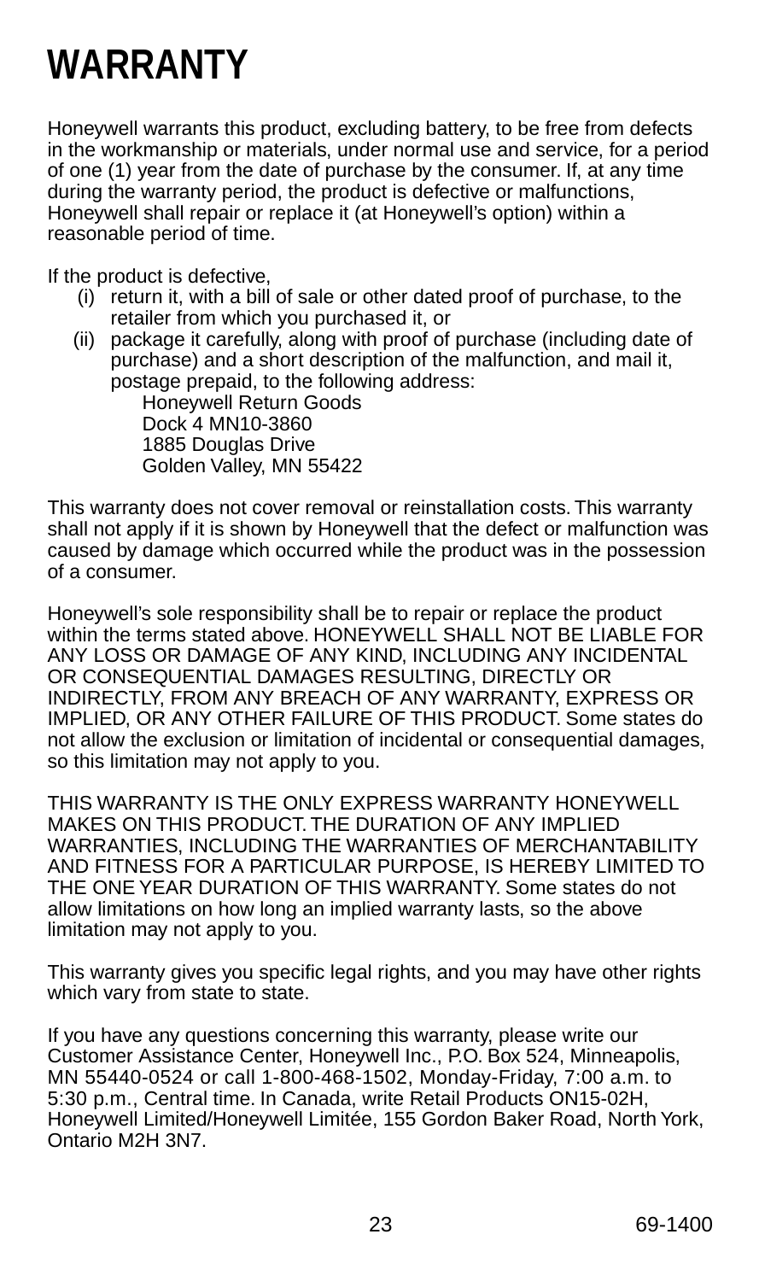# **WARRANTY**

Honeywell warrants this product, excluding battery, to be free from defects in the workmanship or materials, under normal use and service, for a period of one (1) year from the date of purchase by the consumer. If, at any time during the warranty period, the product is defective or malfunctions, Honeywell shall repair or replace it (at Honeywell's option) within a reasonable period of time.

If the product is defective,

- (i) return it, with a bill of sale or other dated proof of purchase, to the retailer from which you purchased it, or
- (ii) package it carefully, along with proof of purchase (including date of purchase) and a short description of the malfunction, and mail it, postage prepaid, to the following address:

Honeywell Return Goods Dock 4 MN10-3860 1885 Douglas Drive Golden Valley, MN 55422

This warranty does not cover removal or reinstallation costs. This warranty shall not apply if it is shown by Honeywell that the defect or malfunction was caused by damage which occurred while the product was in the possession of a consumer.

Honeywell's sole responsibility shall be to repair or replace the product within the terms stated above. HONEYWELL SHALL NOT BE LIABLE FOR ANY LOSS OR DAMAGE OF ANY KIND, INCLUDING ANY INCIDENTAL OR CONSEQUENTIAL DAMAGES RESULTING, DIRECTLY OR INDIRECTLY, FROM ANY BREACH OF ANY WARRANTY, EXPRESS OR IMPLIED, OR ANY OTHER FAILURE OF THIS PRODUCT. Some states do not allow the exclusion or limitation of incidental or consequential damages, so this limitation may not apply to you.

THIS WARRANTY IS THE ONLY EXPRESS WARRANTY HONEYWELL MAKES ON THIS PRODUCT. THE DURATION OF ANY IMPLIED WARRANTIES, INCLUDING THE WARRANTIES OF MERCHANTABILITY AND FITNESS FOR A PARTICULAR PURPOSE, IS HEREBY LIMITED TO THE ONE YEAR DURATION OF THIS WARRANTY. Some states do not allow limitations on how long an implied warranty lasts, so the above limitation may not apply to you.

This warranty gives you specific legal rights, and you may have other rights which vary from state to state.

If you have any questions concerning this warranty, please write our Customer Assistance Center, Honeywell Inc., P.O. Box 524, Minneapolis, MN 55440-0524 or call 1-800-468-1502, Monday-Friday, 7:00 a.m. to 5:30 p.m., Central time. In Canada, write Retail Products ON15-02H, Honeywell Limited/Honeywell Limitée, 155 Gordon Baker Road, North York, Ontario M2H 3N7.